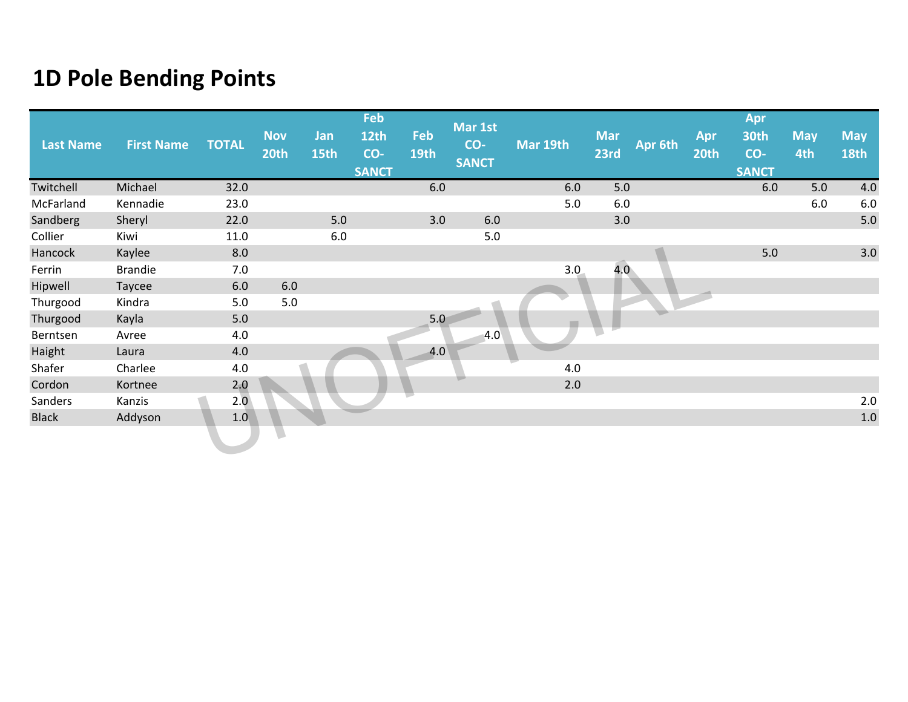| <b>Last Name</b> | <b>First Name</b> | <b>TOTAL</b> | <b>Nov</b><br>20th | Jan<br>15th | Feb<br>12th<br>CO- | Feb<br>19th | Mar 1st<br>CO-<br><b>SANCT</b> | Mar 19th | <b>Mar</b><br>23rd | Apr 6th | Apr<br>20th | Apr<br><b>30th</b><br>CO- | <b>May</b><br>4th | <b>May</b><br><b>18th</b> |
|------------------|-------------------|--------------|--------------------|-------------|--------------------|-------------|--------------------------------|----------|--------------------|---------|-------------|---------------------------|-------------------|---------------------------|
|                  |                   |              |                    |             | <b>SANCT</b>       |             |                                |          |                    |         |             | <b>SANCT</b>              |                   |                           |
| Twitchell        | Michael           | 32.0         |                    |             |                    | 6.0         |                                | 6.0      | 5.0                |         |             | 6.0                       | 5.0               | 4.0                       |
| McFarland        | Kennadie          | 23.0         |                    |             |                    |             |                                | 5.0      | 6.0                |         |             |                           | 6.0               | $6.0\,$                   |
| Sandberg         | Sheryl            | 22.0         |                    | 5.0         |                    | 3.0         | $6.0\,$                        |          | 3.0                |         |             |                           |                   | $5.0\,$                   |
| Collier          | Kiwi              | 11.0         |                    | 6.0         |                    |             | 5.0                            |          |                    |         |             |                           |                   |                           |
| Hancock          | Kaylee            | 8.0          |                    |             |                    |             |                                |          |                    |         |             | 5.0                       |                   | 3.0                       |
| Ferrin           | <b>Brandie</b>    | 7.0          |                    |             |                    |             |                                | 3.0      | 4.0 <sub>1</sub>   |         |             |                           |                   |                           |
| Hipwell          | Taycee            | $6.0\,$      | 6.0                |             |                    |             |                                |          |                    |         |             |                           |                   |                           |
| Thurgood         | Kindra            | 5.0          | 5.0                |             |                    |             |                                |          |                    |         |             |                           |                   |                           |
| Thurgood         | Kayla             | 5.0          |                    |             |                    | 5.0         |                                |          |                    |         |             |                           |                   |                           |
| Berntsen         | Avree             | 4.0          |                    |             |                    |             | 4.0                            |          |                    |         |             |                           |                   |                           |
| Haight           | Laura             | 4.0          |                    |             |                    | 4.0         |                                |          |                    |         |             |                           |                   |                           |
| Shafer           | Charlee           | 4.0          |                    |             |                    |             |                                | 4.0      |                    |         |             |                           |                   |                           |
| Cordon           | Kortnee           | 2,0          |                    |             |                    |             |                                | $2.0$    |                    |         |             |                           |                   |                           |
| Sanders          | Kanzis            | 2.0          |                    |             |                    |             |                                |          |                    |         |             |                           |                   | $2.0\,$                   |
| <b>Black</b>     | Addyson           | 1.0          |                    |             |                    |             |                                |          |                    |         |             |                           |                   | $1.0\,$                   |
|                  |                   |              |                    |             |                    |             |                                |          |                    |         |             |                           |                   |                           |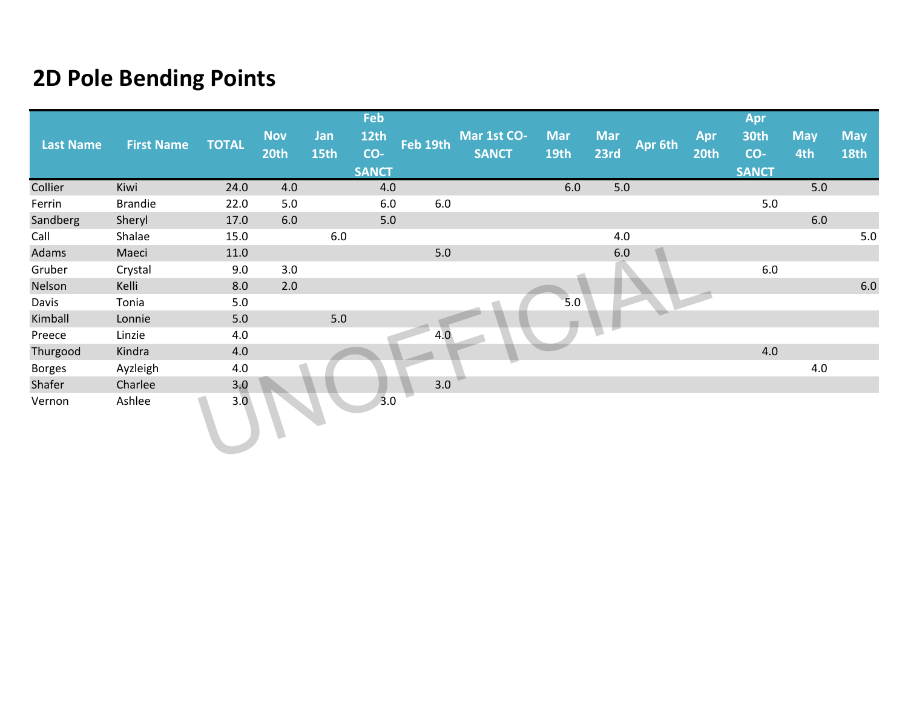|                  |                   |              |             |       | Feb          |          |              |             |            |         |      | Apr          |            |             |
|------------------|-------------------|--------------|-------------|-------|--------------|----------|--------------|-------------|------------|---------|------|--------------|------------|-------------|
| <b>Last Name</b> | <b>First Name</b> | <b>TOTAL</b> | <b>Nov</b>  | Jan   | <b>12th</b>  | Feb 19th | Mar 1st CO-  | <b>Mar</b>  | <b>Mar</b> | Apr 6th | Apr  | 30th         | <b>May</b> | <b>May</b>  |
|                  |                   |              | <b>20th</b> | 15th  | CO-          |          | <b>SANCT</b> | <b>19th</b> | 23rd       |         | 20th | CO-          | 4th        | <b>18th</b> |
|                  |                   |              |             |       | <b>SANCT</b> |          |              |             |            |         |      | <b>SANCT</b> |            |             |
| Collier          | Kiwi              | 24.0         | 4.0         |       | 4.0          |          |              | 6.0         | 5.0        |         |      |              | 5.0        |             |
| Ferrin           | <b>Brandie</b>    | 22.0         | 5.0         |       | $6.0\,$      | $6.0\,$  |              |             |            |         |      | 5.0          |            |             |
| Sandberg         | Sheryl            | 17.0         | 6.0         |       | $5.0$        |          |              |             |            |         |      |              | $6.0\,$    |             |
| Call             | Shalae            | 15.0         |             | 6.0   |              |          |              |             | 4.0        |         |      |              |            | $5.0\,$     |
| Adams            | Maeci             | 11.0         |             |       |              | 5.0      |              |             | $6.0\,$    |         |      |              |            |             |
| Gruber           | Crystal           | 9.0          | 3.0         |       |              |          |              |             |            |         |      | 6.0          |            |             |
| Nelson           | Kelli             | 8.0          | 2.0         |       |              |          |              |             |            |         |      |              |            | $6.0\,$     |
| Davis            | Tonia             | $5.0$        |             |       |              |          |              | 5.0         |            |         |      |              |            |             |
| Kimball          | Lonnie            | $5.0\,$      |             | $5.0$ |              |          |              |             |            |         |      |              |            |             |
| Preece           | Linzie            | 4.0          |             |       |              | 4.0      |              |             |            |         |      |              |            |             |
| Thurgood         | Kindra            | 4.0          |             |       |              |          |              |             |            |         |      | 4.0          |            |             |
| <b>Borges</b>    | Ayzleigh          | $4.0\,$      |             |       |              |          |              |             |            |         |      |              | 4.0        |             |
| Shafer           | Charlee           | 3,0          |             |       |              | 3.0      |              |             |            |         |      |              |            |             |
| Vernon           | Ashlee            | 3.0          |             |       | 3.0          |          |              |             |            |         |      |              |            |             |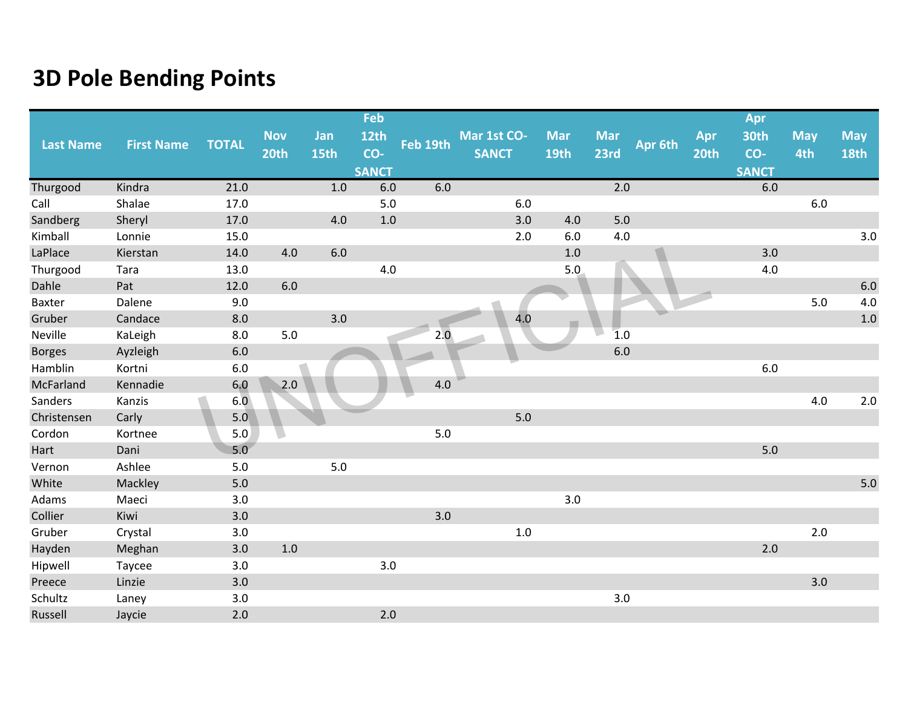|                  |                   |              |            |       | Feb          |          |              |             |            |         |      | Apr          |            |             |
|------------------|-------------------|--------------|------------|-------|--------------|----------|--------------|-------------|------------|---------|------|--------------|------------|-------------|
|                  |                   |              | <b>Nov</b> | Jan   | <b>12th</b>  |          | Mar 1st CO-  | <b>Mar</b>  | <b>Mar</b> |         | Apr  | 30th         | <b>May</b> | <b>May</b>  |
| <b>Last Name</b> | <b>First Name</b> | <b>TOTAL</b> | 20th       | 15th  | CO-          | Feb 19th | <b>SANCT</b> | <b>19th</b> | 23rd       | Apr 6th | 20th | CO-          | 4th        | <b>18th</b> |
|                  |                   |              |            |       | <b>SANCT</b> |          |              |             |            |         |      | <b>SANCT</b> |            |             |
| Thurgood         | Kindra            | 21.0         |            | $1.0$ | 6.0          | 6.0      |              |             | 2.0        |         |      | 6.0          |            |             |
| Call             | Shalae            | 17.0         |            |       | 5.0          |          | 6.0          |             |            |         |      |              | 6.0        |             |
| Sandberg         | Sheryl            | 17.0         |            | 4.0   | $1.0$        |          | 3.0          | 4.0         | $5.0$      |         |      |              |            |             |
| Kimball          | Lonnie            | 15.0         |            |       |              |          | 2.0          | 6.0         | 4.0        |         |      |              |            | 3.0         |
| LaPlace          | Kierstan          | 14.0         | 4.0        | 6.0   |              |          |              | 1.0         |            |         |      | 3.0          |            |             |
| Thurgood         | Tara              | 13.0         |            |       | 4.0          |          |              | 5.0         |            |         |      | 4.0          |            |             |
| Dahle            | Pat               | 12.0         | 6.0        |       |              |          |              |             |            |         |      |              |            | $6.0\,$     |
| Baxter           | Dalene            | 9.0          |            |       |              |          |              |             |            |         |      |              | 5.0        | 4.0         |
| Gruber           | Candace           | 8.0          |            | 3.0   |              |          | 4.0          |             |            |         |      |              |            | $1.0$       |
| Neville          | KaLeigh           | 8.0          | 5.0        |       |              | 2.0      |              |             | 1.0        |         |      |              |            |             |
| <b>Borges</b>    | Ayzleigh          | 6.0          |            |       |              |          |              |             | 6.0        |         |      |              |            |             |
| Hamblin          | Kortni            | 6.0          |            |       |              |          |              |             |            |         |      | $6.0\,$      |            |             |
| McFarland        | Kennadie          | 6.0          | 2.0        |       |              | 4.0      |              |             |            |         |      |              |            |             |
| Sanders          | Kanzis            | 6.0          |            |       |              |          |              |             |            |         |      |              | 4.0        | $2.0\,$     |
| Christensen      | Carly             | 5.0          |            |       |              |          | 5.0          |             |            |         |      |              |            |             |
| Cordon           | Kortnee           | 5.0          |            |       |              | $5.0$    |              |             |            |         |      |              |            |             |
| Hart             | Dani              | 5.0          |            |       |              |          |              |             |            |         |      | 5.0          |            |             |
| Vernon           | Ashlee            | 5.0          |            | $5.0$ |              |          |              |             |            |         |      |              |            |             |
| White            | Mackley           | 5.0          |            |       |              |          |              |             |            |         |      |              |            | $5.0$       |
| Adams            | Maeci             | 3.0          |            |       |              |          |              | 3.0         |            |         |      |              |            |             |
| Collier          | Kiwi              | 3.0          |            |       |              | 3.0      |              |             |            |         |      |              |            |             |
| Gruber           | Crystal           | 3.0          |            |       |              |          | $1.0\,$      |             |            |         |      |              | $2.0$      |             |
| Hayden           | Meghan            | 3.0          | 1.0        |       |              |          |              |             |            |         |      | 2.0          |            |             |
| Hipwell          | Taycee            | 3.0          |            |       | 3.0          |          |              |             |            |         |      |              |            |             |
| Preece           | Linzie            | 3.0          |            |       |              |          |              |             |            |         |      |              | 3.0        |             |
| Schultz          | Laney             | 3.0          |            |       |              |          |              |             | 3.0        |         |      |              |            |             |
| Russell          | Jaycie            | 2.0          |            |       | 2.0          |          |              |             |            |         |      |              |            |             |